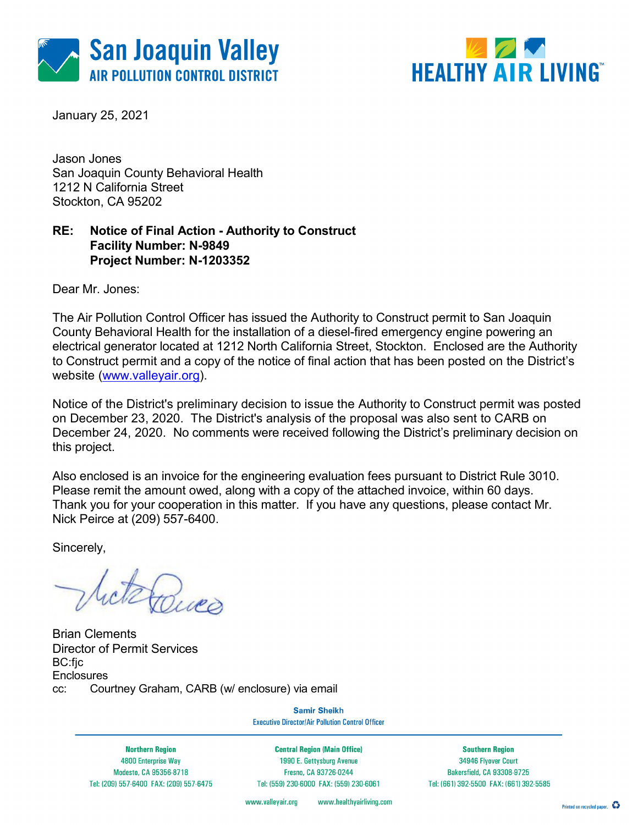



January 25, 2021

Jason Jones San Joaquin County Behavioral Health 1212 N California Street Stockton, CA 95202

### RE: Notice of Final Action - Authority to Construct Facility Number: N-9849 Project Number: N-1203352

Dear Mr. Jones:

The Air Pollution Control Officer has issued the Authority to Construct permit to San Joaquin County Behavioral Health for the installation of a diesel-fired emergency engine powering an electrical generator located at 1212 North California Street, Stockton. Enclosed are the Authority to Construct permit and a copy of the notice of final action that has been posted on the District's website (www.valleyair.org).

Notice of the District's preliminary decision to issue the Authority to Construct permit was posted on December 23, 2020. The District's analysis of the proposal was also sent to CARB on December 24, 2020. No comments were received following the District's preliminary decision on this project.

Also enclosed is an invoice for the engineering evaluation fees pursuant to District Rule 3010. Please remit the amount owed, along with a copy of the attached invoice, within 60 days. Thank you for your cooperation in this matter. If you have any questions, please contact Mr. Nick Peirce at (209) 557-6400.

Sincerely,

televes

Brian Clements Director of Permit Services BC:fjc **Enclosures** cc: Courtney Graham, CARB (w/ enclosure) via email

**Samir Sheikh Executive Director/Air Pollution Control Officer** 

**Northern Region** 4800 Enterprise Way Modesto, CA 95356-8718 Tel: (209) 557-6400 FAX: (209) 557-6475

**Central Region (Main Office)** 1990 E. Gettysburg Avenue Fresno, CA 93726-0244 Tel: (559) 230-6000 FAX: (559) 230-6061

**Southern Region** 34946 Flyover Court Bakersfield, CA 93308-9725 Tel: (661) 392-5500 FAX: (661) 392-5585

www.valleyair.org www.healthyairliving.com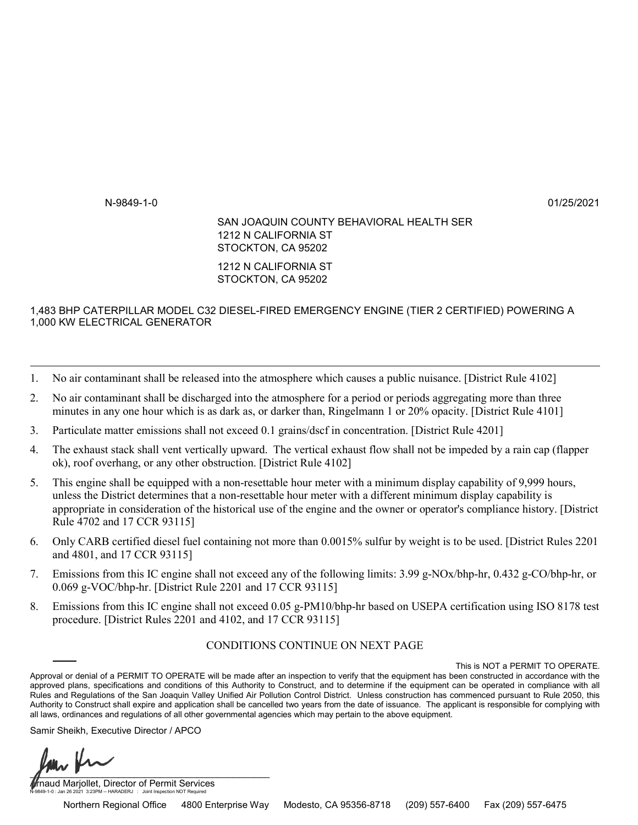# AUTHORITY TO CONSTRUCT

-

-

MAILING ADDRESS: 1212 N CALIFORNIA ST

PERMIT NO: N-9849-1-0 ISSUANCE DATE: 01/25/2021

LEGAL OWNER OR OPERATOR: SAN JOAQUIN COUNTY BEHAVIORAL HEALTH SER STOCKTON, CA 95202

LOCATION: 1212 N CALIFORNIA ST STOCKTON, CA 95202

#### EQUIPMENT DESCRIPTION:

1,483 BHP CATERPILLAR MODEL C32 DIESEL-FIRED EMERGENCY ENGINE (TIER 2 CERTIFIED) POWERING A 1,000 KW ELECTRICAL GENERATOR

## **CONDITIONS**

- 1. No air contaminant shall be released into the atmosphere which causes a public nuisance. [District Rule 4102]
- 2. No air contaminant shall be discharged into the atmosphere for a period or periods aggregating more than three minutes in any one hour which is as dark as, or darker than, Ringelmann 1 or 20% opacity. [District Rule 4101]
- 3. Particulate matter emissions shall not exceed 0.1 grains/dscf in concentration. [District Rule 4201]
- 4. The exhaust stack shall vent vertically upward. The vertical exhaust flow shall not be impeded by a rain cap (flapper ok), roof overhang, or any other obstruction. [District Rule 4102]
- 5. This engine shall be equipped with a non-resettable hour meter with a minimum display capability of 9,999 hours, unless the District determines that a non-resettable hour meter with a different minimum display capability is appropriate in consideration of the historical use of the engine and the owner or operator's compliance history. [District Rule 4702 and 17 CCR 93115]
- 6. Only CARB certified diesel fuel containing not more than 0.0015% sulfur by weight is to be used. [District Rules 2201 and 4801, and 17 CCR 93115]
- 7. Emissions from this IC engine shall not exceed any of the following limits: 3.99 g-NOx/bhp-hr, 0.432 g-CO/bhp-hr, or 0.069 g-VOC/bhp-hr. [District Rule 2201 and 17 CCR 93115]
- 8. Emissions from this IC engine shall not exceed 0.05 g-PM10/bhp-hr based on USEPA certification using ISO 8178 test procedure. [District Rules 2201 and 4102, and 17 CCR 93115]

#### CONDITIONS CONTINUE ON NEXT PAGE

YOU MUST NOTIFY THE DISTRICT COMPLIANCE DIVISION AT (209) 557-6400 WHEN CONSTRUCTION IS COMPLETED AND PRIOR TO OPERATING THE EQUIPMENT OR MODIFICATIONS AUTHORIZED BY THIS AUTHORITY TO CONSTRUCT. This is NOT a PERMIT TO OPERATE. Approval or denial of a PERMIT TO OPERATE will be made after an inspection to verify that the equipment has been constructed in accordance with the approved plans, specifications and conditions of this Authority to Construct, and to determine if the equipment can be operated in compliance with all Rules and Regulations of the San Joaquin Valley Unified Air Pollution Control District. Unless construction has commenced pursuant to Rule 2050, this Authority to Construct shall expire and application shall be cancelled two years from the date of issuance. The applicant is responsible for complying with all laws, ordinances and regulations of all other governmental agencies which may pertain to the above equipment.

Samir Sheikh, Executive Director / APCO

 $\sqrt{1-\omega}$ 

naud Marjollet, Director of Permit Services N-9849-1-0 : Jan 26 2021 3:23PM -- HARADERJ : Joint Inspection NOT Required

Northern Regional Office < 4800 Enterprise Way < Modesto, CA 95356-8718 < (209) 557-6400 < Fax (209) 557-6475